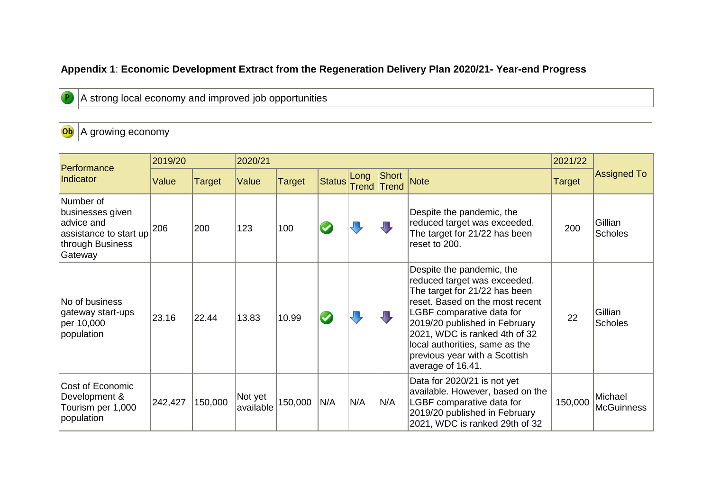#### **Appendix 1**: **Economic Development Extract from the Regeneration Delivery Plan 2020/21- Year-end Progress**

A strong local economy and improved job opportunities

Ob A growing economy

|                                                                                                      | 2019/20 |         | 2020/21              |         |        |               |                       |                                                                                                                                                                                                                                                                                                                      | 2021/22 |                              |
|------------------------------------------------------------------------------------------------------|---------|---------|----------------------|---------|--------|---------------|-----------------------|----------------------------------------------------------------------------------------------------------------------------------------------------------------------------------------------------------------------------------------------------------------------------------------------------------------------|---------|------------------------------|
| Performance<br>Indicator                                                                             | Value   | Target  | Value                | Target  | Status | Long<br>Trend | Short<br><b>Trend</b> | <b>Note</b>                                                                                                                                                                                                                                                                                                          | Target  | <b>Assigned To</b>           |
| Number of<br>businesses given<br>advice and<br>assistance to start up<br>through Business<br>Gateway | 206     | 200     | 123                  | 100     |        |               |                       | Despite the pandemic, the<br>reduced target was exceeded.<br>The target for 21/22 has been<br>reset to 200.                                                                                                                                                                                                          | 200     | Gillian<br><b>Scholes</b>    |
| No of business<br>gateway start-ups<br>per 10,000<br>population                                      | 23.16   | 22.44   | 13.83                | 10.99   |        |               |                       | Despite the pandemic, the<br>reduced target was exceeded.<br>The target for 21/22 has been<br>reset. Based on the most recent<br>LGBF comparative data for<br>2019/20 published in February<br>2021, WDC is ranked 4th of 32<br>local authorities, same as the<br>previous year with a Scottish<br>average of 16.41. | 22      | Gillian<br><b>Scholes</b>    |
| Cost of Economic<br>Development &<br>Tourism per 1,000<br>population                                 | 242,427 | 150,000 | Not yet<br>available | 150,000 | N/A    | N/A           | N/A                   | Data for 2020/21 is not yet<br>available. However, based on the<br>LGBF comparative data for<br>2019/20 published in February<br>2021, WDC is ranked 29th of 32                                                                                                                                                      | 150,000 | Michael<br><b>McGuinness</b> |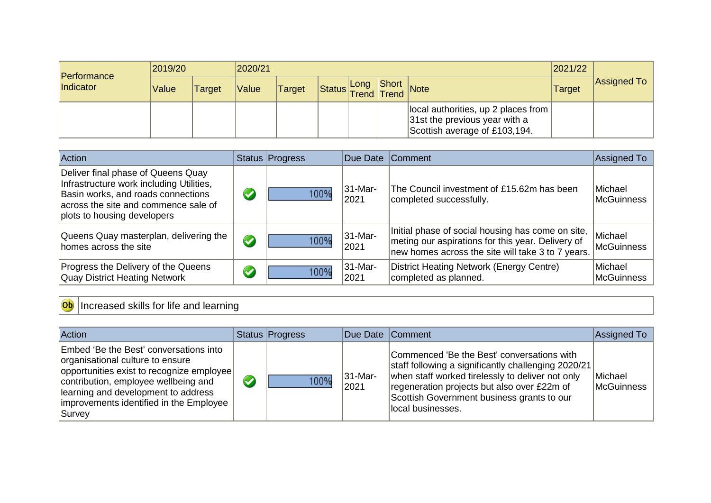| <b>Performance</b> | 2019/20 |               | 2020/21 |        |                  |      |       |                                                                                                       | 2021/22 |             |
|--------------------|---------|---------------|---------|--------|------------------|------|-------|-------------------------------------------------------------------------------------------------------|---------|-------------|
| Indicator          | Value   | <b>Target</b> | Value   | Target | Status Trend ITE | Long | Trend | Short Note                                                                                            | Target  | Assigned To |
|                    |         |               |         |        |                  |      |       | local authorities, up 2 places from<br>31st the previous year with a<br>Scottish average of £103,194. |         |             |

| <b>Action</b>                                                                                                                                                                               |                       | Status Progress | Due Date              | <b>Comment</b>                                                                                                                                              | Assigned To                  |
|---------------------------------------------------------------------------------------------------------------------------------------------------------------------------------------------|-----------------------|-----------------|-----------------------|-------------------------------------------------------------------------------------------------------------------------------------------------------------|------------------------------|
| Deliver final phase of Queens Quay<br>Infrastructure work including Utilities,<br>Basin works, and roads connections<br>across the site and commence sale of<br>plots to housing developers | $\blacktriangledown$  | 100%            | 31-Mar-<br>2021       | The Council investment of £15.62m has been<br>completed successfully.                                                                                       | Michael<br><b>McGuinness</b> |
| Queens Quay masterplan, delivering the<br>homes across the site                                                                                                                             | $\blacktriangledown$  | 100%            | $ 31 - Mar -$<br>2021 | Initial phase of social housing has come on site,<br>meting our aspirations for this year. Delivery of<br>new homes across the site will take 3 to 7 years. | Michael<br><b>McGuinness</b> |
| Progress the Delivery of the Queens<br><b>Quay District Heating Network</b>                                                                                                                 | $\blacktriangleright$ | 100%            | 31-Mar-<br>2021       | District Heating Network (Energy Centre)<br>completed as planned.                                                                                           | Michael<br>McGuinness        |

# Ob Increased skills for life and learning

| <b>Action</b>                                                                                                                                                                                                                                               | Status Progress | Due Date Comment    |                                                                                                                                                                                                                                                                         | Assigned To                  |
|-------------------------------------------------------------------------------------------------------------------------------------------------------------------------------------------------------------------------------------------------------------|-----------------|---------------------|-------------------------------------------------------------------------------------------------------------------------------------------------------------------------------------------------------------------------------------------------------------------------|------------------------------|
| Embed 'Be the Best' conversations into<br>organisational culture to ensure<br>opportunities exist to recognize employee<br>contribution, employee wellbeing and<br>learning and development to address<br>improvements identified in the Employee<br>Survey | 100%            | $ 31-Mar-$<br> 2021 | Commenced 'Be the Best' conversations with<br>staff following a significantly challenging 2020/21<br>when staff worked tirelessly to deliver not only<br>regeneration projects but also over £22m of<br>Scottish Government business grants to our<br>local businesses. | Michael<br><b>McGuinness</b> |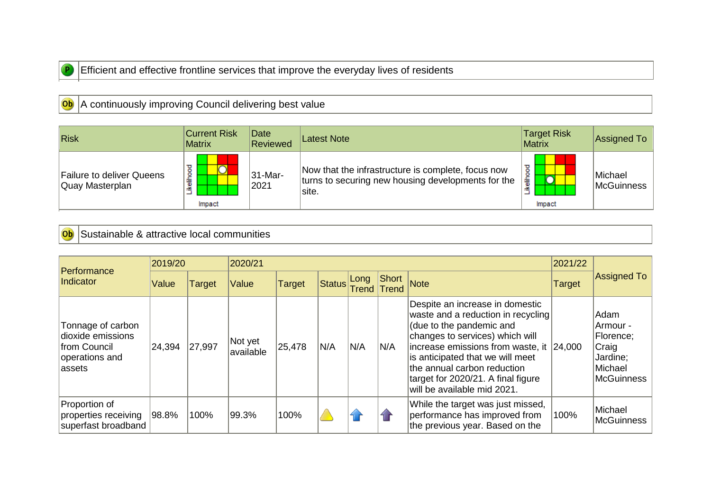

#### Efficient and effective frontline services that improve the everyday lives of residents

### **Ob** A continuously improving Council delivering best value

| Risk                                         | <b>Current Risk</b><br><b>Matrix</b> | Date<br>Reviewed   | Latest Note                                                                                                       | <b>Target Risk</b><br><b>Matrix</b> | Assigned To                  |
|----------------------------------------------|--------------------------------------|--------------------|-------------------------------------------------------------------------------------------------------------------|-------------------------------------|------------------------------|
| Failure to deliver Queens<br>Quay Masterplan | ≖<br>۰<br>۰<br>≂<br>Ì<br>Impact      | $ 31-Mar-$<br>2021 | Now that the infrastructure is complete, focus now<br>turns to securing new housing developments for the<br>site. | ┍<br>흫<br>Impact                    | Michael<br><b>McGuinness</b> |

## **Ob** Sustainable & attractive local communities

| Performance                                                                         | 2019/20 |        | 2020/21              |        |              |      |                |                                                                                                                                                                                                                                                                                                                          |               |                                                                                    |
|-------------------------------------------------------------------------------------|---------|--------|----------------------|--------|--------------|------|----------------|--------------------------------------------------------------------------------------------------------------------------------------------------------------------------------------------------------------------------------------------------------------------------------------------------------------------------|---------------|------------------------------------------------------------------------------------|
| Indicator                                                                           | Value   | Target | Value                | Target | Status Trend | Long | Short<br>Trend | <b>Note</b>                                                                                                                                                                                                                                                                                                              | <b>Target</b> | Assigned To                                                                        |
| Tonnage of carbon<br>dioxide emissions<br>from Council<br>operations and<br>lassets | 24,394  | 27,997 | Not yet<br>available | 25,478 | N/A          | N/A  | N/A            | Despite an increase in domestic<br>waste and a reduction in recycling<br>(due to the pandemic and<br>changes to services) which will<br>increase emissions from waste, it 24,000<br>is anticipated that we will meet<br>the annual carbon reduction<br>target for 2020/21. A final figure<br>will be available mid 2021. |               | Adam<br>Armour -<br>Florence;<br>Craig<br>Jardine;<br>Michael<br><b>McGuinness</b> |
| Proportion of<br>properties receiving<br>superfast broadband                        | 98.8%   | 100%   | 99.3%                | 100%   |              |      |                | While the target was just missed,<br>performance has improved from<br>the previous year. Based on the                                                                                                                                                                                                                    | 100%          | Michael<br><b>McGuinness</b>                                                       |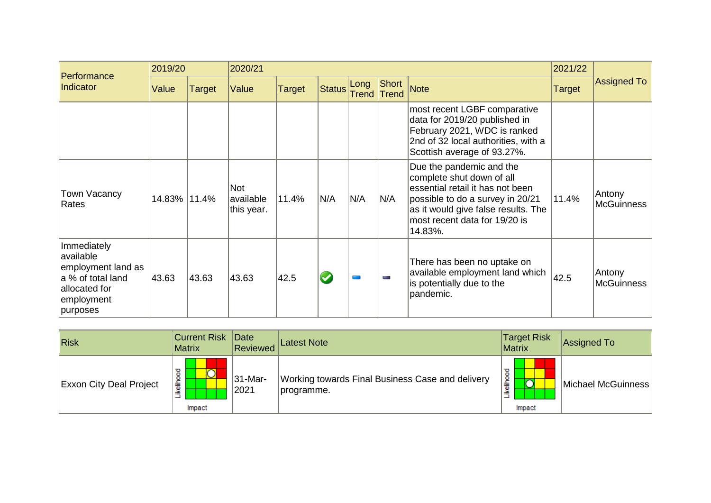| Performance                                                                                                    | 2019/20      |        | 2020/21                               |        |        | 2021/22       |                |                                                                                                                                                                                                                  |        |                             |
|----------------------------------------------------------------------------------------------------------------|--------------|--------|---------------------------------------|--------|--------|---------------|----------------|------------------------------------------------------------------------------------------------------------------------------------------------------------------------------------------------------------------|--------|-----------------------------|
| Indicator                                                                                                      | Value        | Target | Value                                 | Target | Status | Long<br>Trend | Short<br>Trend | <b>Note</b>                                                                                                                                                                                                      | Target | <b>Assigned To</b>          |
|                                                                                                                |              |        |                                       |        |        |               |                | most recent LGBF comparative<br>data for 2019/20 published in<br>February 2021, WDC is ranked<br>2nd of 32 local authorities, with a<br>Scottish average of 93.27%.                                              |        |                             |
| Town Vacancy<br>Rates                                                                                          | 14.83% 11.4% |        | <b>Not</b><br>available<br>this year. | 11.4%  | N/A    | N/A           | N/A            | Due the pandemic and the<br>complete shut down of all<br>essential retail it has not been<br>possible to do a survey in 20/21<br>as it would give false results. The<br>most recent data for 19/20 is<br>14.83%. | 11.4%  | Antony<br><b>McGuinness</b> |
| Immediately<br>available<br>employment land as<br>a % of total land<br>allocated for<br>employment<br>purposes | 43.63        | 43.63  | 43.63                                 | 42.5   |        |               | m.             | There has been no uptake on<br>available employment land which<br>is potentially due to the<br>pandemic.                                                                                                         | 42.5   | Antony<br><b>McGuinness</b> |

| $ R$ isk                       | <b>Current Risk Date</b><br><b>Matrix</b> | Reviewed            | <b>Latest Note</b>                                             | <b>Target Risk</b><br><b>Matrix</b> | <b>Assigned To</b> |
|--------------------------------|-------------------------------------------|---------------------|----------------------------------------------------------------|-------------------------------------|--------------------|
| <b>Exxon City Deal Project</b> | $\circ$<br>ikeliho<br>Impact              | $ 31-Mar-$<br> 2021 | Working towards Final Business Case and delivery<br>programme. | elihoo<br>∽<br>≚<br>Impact          | Michael McGuinness |